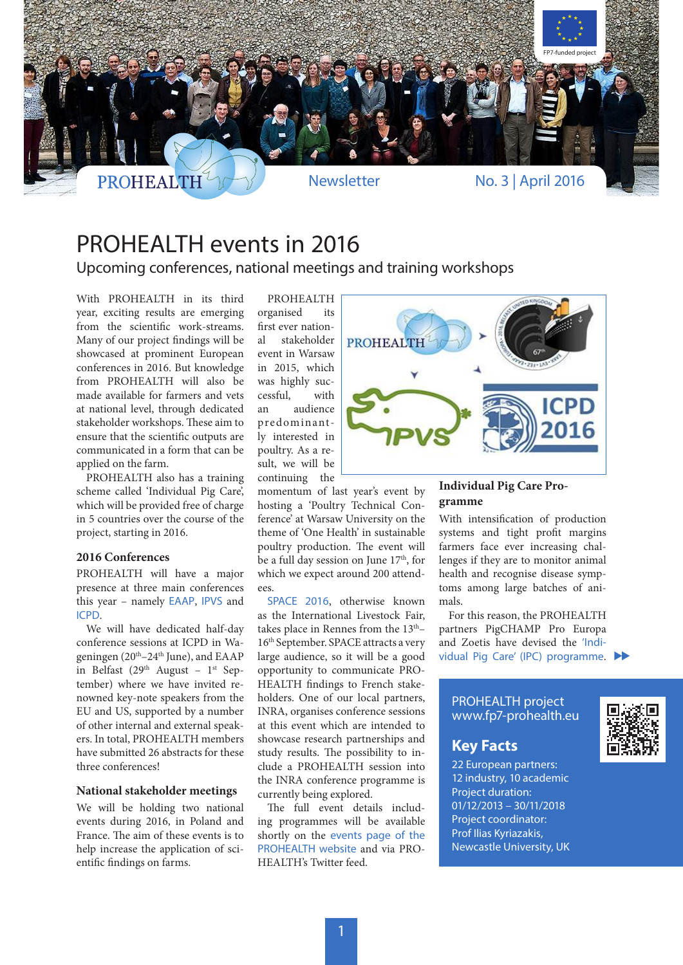

# PROHEALTH events in 2016

Upcoming conferences, national meetings and training workshops

With PROHEALTH in its third year, exciting results are emerging from the scientific work-streams. Many of our project findings will be showcased at prominent European conferences in 2016. But knowledge from PROHEALTH will also be made available for farmers and vets at national level, through dedicated stakeholder workshops. These aim to ensure that the scientific outputs are communicated in a form that can be applied on the farm.

PROHEALTH also has a training scheme called 'Individual Pig Care', which will be provided free of charge in 5 countries over the course of the project, starting in 2016.

### **2016 Conferences**

PROHEALTH will have a major presence at three main conferences this year – namely EAAP, IPVS and ICPD.

We will have dedicated half-day conference sessions at ICPD in Wageningen ( $20<sup>th</sup> - 24<sup>th</sup>$  June), and EAAP in Belfast (29<sup>th</sup> August - 1<sup>st</sup> September) where we have invited renowned key-note speakers from the EU and US, supported by a number of other internal and external speakers. In total, PROHEALTH members have submitted 26 abstracts for these three conferences!

### **National stakeholder meetings**

We will be holding two national events during 2016, in Poland and France. The aim of these events is to help increase the application of scientific findings on farms.

PROHEALTH organised its first ever national stakeholder event in Warsaw in 2015, which was highly successful, with an audience predominantly interested in poultry. As a result, we will be continuing the

momentum of last year's event by hosting a 'Poultry Technical Conference' at Warsaw University on the theme of 'One Health' in sustainable poultry production. The event will be a full day session on June  $17<sup>th</sup>$ , for which we expect around 200 attend- $\rho \rho \zeta$ 

SPACE 2016, otherwise known as the International Livestock Fair, takes place in Rennes from the 13<sup>th</sup>-16th September. SPACE attracts a very large audience, so it will be a good opportunity to communicate PRO-HEALTH findings to French stakeholders. One of our local partners, INRA, organises conference sessions at this event which are intended to showcase research partnerships and study results. The possibility to include a PROHEALTH session into the INRA conference programme is currently being explored.

The full event details including programmes will be available shortly on the events page of the PROHEALTH website and via PRO-HEALTH's Twitter feed.



### **Individual Pig Care Programme**

With intensification of production systems and tight profit margins farmers face ever increasing challenges if they are to monitor animal health and recognise disease symptoms among large batches of animals.

For this reason, the PROHEALTH partners PigCHAMP Pro Europa and Zoetis have devised the 'Individual Pig Care' (IPC) programme.

### PROHEALTH project www.fp7-prohealth.eu

### **Key Facts**

22 European partners: 12 industry, 10 academic Project duration: 01/12/2013 – 30/11/2018 Project coordinator: Prof Ilias Kyriazakis, Newcastle University, UK

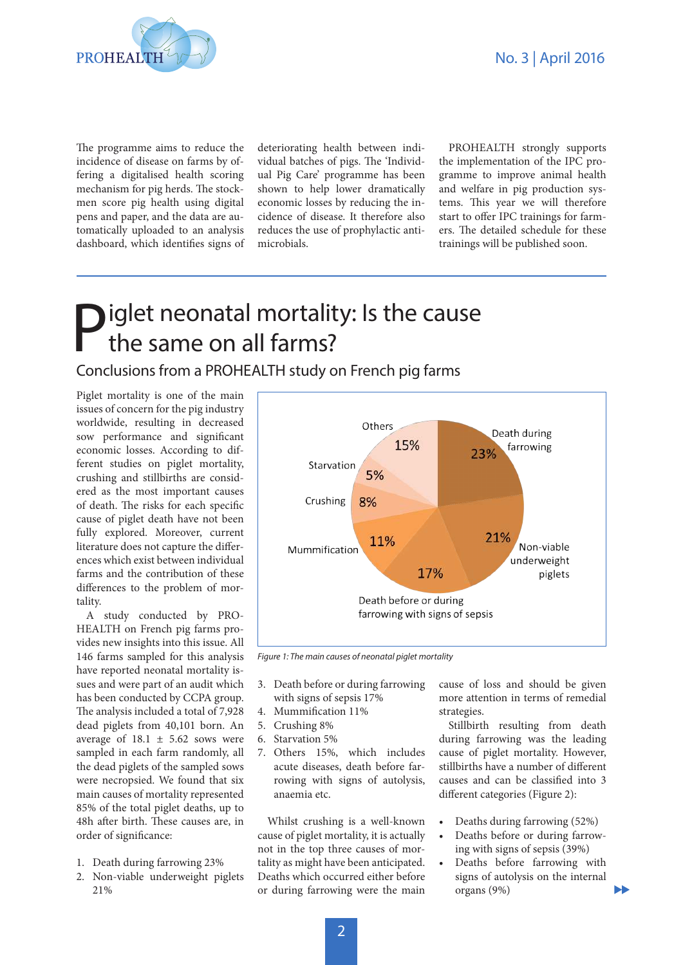

The programme aims to reduce the incidence of disease on farms by offering a digitalised health scoring mechanism for pig herds. The stockmen score pig health using digital pens and paper, and the data are automatically uploaded to an analysis dashboard, which identifies signs of deteriorating health between individual batches of pigs. The 'Individual Pig Care' programme has been shown to help lower dramatically economic losses by reducing the incidence of disease. It therefore also reduces the use of prophylactic antimicrobials.

PROHEALTH strongly supports the implementation of the IPC programme to improve animal health and welfare in pig production systems. This year we will therefore start to offer IPC trainings for farmers. The detailed schedule for these trainings will be published soon.

# **Piglet neonatal mortality: Is the cause** the same on all farms?

Conclusions from a PROHEALTH study on French pig farms

Piglet mortality is one of the main issues of concern for the pig industry worldwide, resulting in decreased sow performance and significant economic losses. According to different studies on piglet mortality, crushing and stillbirths are considered as the most important causes of death. The risks for each specific cause of piglet death have not been fully explored. Moreover, current literature does not capture the differences which exist between individual farms and the contribution of these differences to the problem of mortality.

A study conducted by PRO-HEALTH on French pig farms provides new insights into this issue. All 146 farms sampled for this analysis have reported neonatal mortality issues and were part of an audit which has been conducted by CCPA group. The analysis included a total of 7,928 dead piglets from 40,101 born. An average of  $18.1 \pm 5.62$  sows were sampled in each farm randomly, all the dead piglets of the sampled sows were necropsied. We found that six main causes of mortality represented 85% of the total piglet deaths, up to 48h after birth. These causes are, in order of significance:

- 1. Death during farrowing 23%
- 2. Non-viable underweight piglets 21%



*Figure 1: The main causes of neonatal piglet mortality*

- 3. Death before or during farrowing with signs of sepsis 17%
- 4. Mummification 11%
- 5. Crushing 8%
- 6. Starvation 5%
- 7. Others 15%, which includes acute diseases, death before farrowing with signs of autolysis, anaemia etc.

Whilst crushing is a well-known cause of piglet mortality, it is actually not in the top three causes of mortality as might have been anticipated. Deaths which occurred either before or during farrowing were the main

cause of loss and should be given more attention in terms of remedial strategies.

Stillbirth resulting from death during farrowing was the leading cause of piglet mortality. However, stillbirths have a number of different causes and can be classified into 3 different categories (Figure 2):

- Deaths during farrowing (52%)
- Deaths before or during farrowing with signs of sepsis (39%)
- Deaths before farrowing with signs of autolysis on the internal organs (9%)

Ы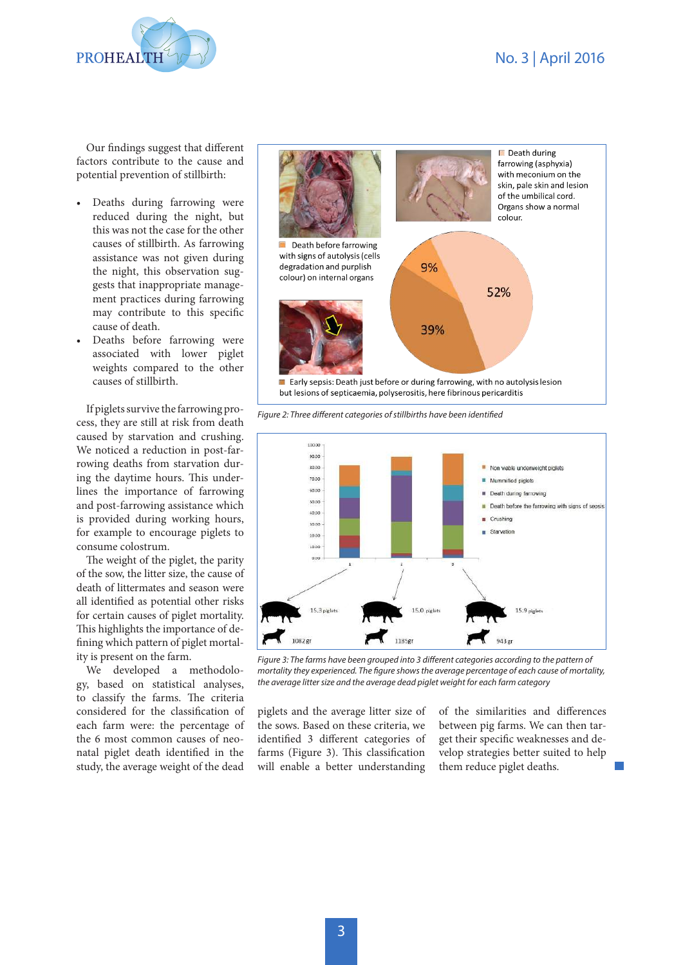## No. 3 | April 2016



Our findings suggest that different factors contribute to the cause and potential prevention of stillbirth:

- Deaths during farrowing were reduced during the night, but this was not the case for the other causes of stillbirth. As farrowing assistance was not given during the night, this observation suggests that inappropriate management practices during farrowing may contribute to this specific cause of death.
- Deaths before farrowing were associated with lower piglet weights compared to the other causes of stillbirth.

If piglets survive the farrowing process, they are still at risk from death caused by starvation and crushing. We noticed a reduction in post-farrowing deaths from starvation during the daytime hours. This underlines the importance of farrowing and post-farrowing assistance which is provided during working hours, for example to encourage piglets to consume colostrum.

The weight of the piglet, the parity of the sow, the litter size, the cause of death of littermates and season were all identified as potential other risks for certain causes of piglet mortality. This highlights the importance of defining which pattern of piglet mortality is present on the farm.

We developed a methodology, based on statistical analyses, to classify the farms. The criteria considered for the classification of each farm were: the percentage of the 6 most common causes of neonatal piglet death identified in the study, the average weight of the dead



*Figure 2: Three different categories of stillbirths have been identified*



*Figure 3: The farms have been grouped into 3 different categories according to the pattern of mortality they experienced. The figure shows the average percentage of each cause of mortality, the average litter size and the average dead piglet weight for each farm category*

piglets and the average litter size of the sows. Based on these criteria, we identified 3 different categories of farms (Figure 3). This classification will enable a better understanding

of the similarities and differences between pig farms. We can then target their specific weaknesses and develop strategies better suited to help them reduce piglet deaths.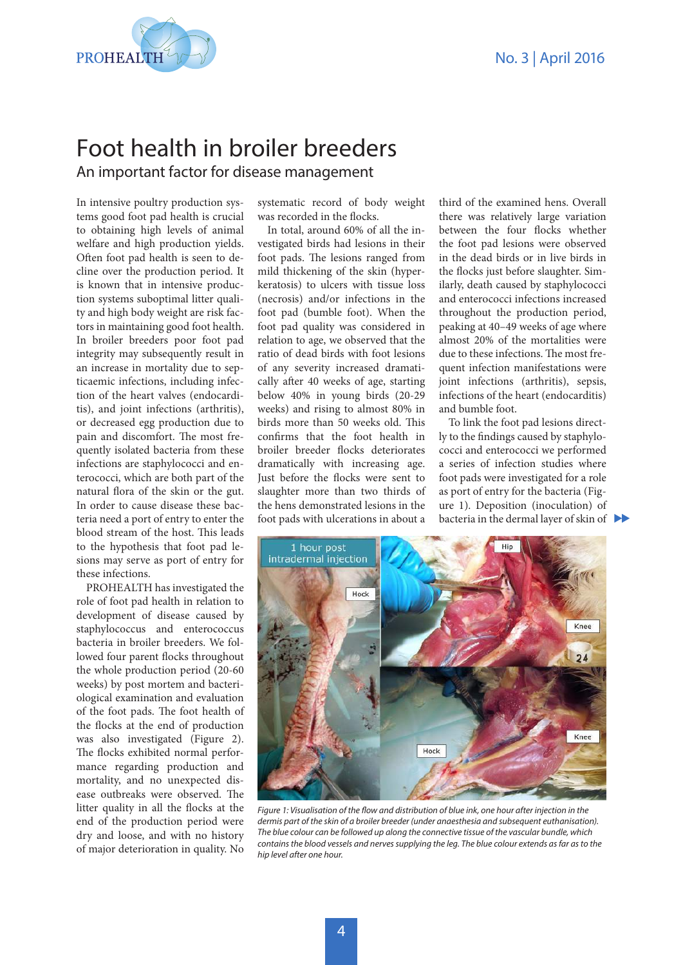

## An important factor for disease management Foot health in broiler breeders

In intensive poultry production systems good foot pad health is crucial to obtaining high levels of animal welfare and high production yields. Often foot pad health is seen to decline over the production period. It is known that in intensive production systems suboptimal litter quality and high body weight are risk factors in maintaining good foot health. In broiler breeders poor foot pad integrity may subsequently result in an increase in mortality due to septicaemic infections, including infection of the heart valves (endocarditis), and joint infections (arthritis), or decreased egg production due to pain and discomfort. The most frequently isolated bacteria from these infections are staphylococci and enterococci, which are both part of the natural flora of the skin or the gut. In order to cause disease these bacteria need a port of entry to enter the blood stream of the host. This leads to the hypothesis that foot pad lesions may serve as port of entry for these infections.

PROHEALTH has investigated the role of foot pad health in relation to development of disease caused by staphylococcus and enterococcus bacteria in broiler breeders. We followed four parent flocks throughout the whole production period (20-60 weeks) by post mortem and bacteriological examination and evaluation of the foot pads. The foot health of the flocks at the end of production was also investigated (Figure 2). The flocks exhibited normal performance regarding production and mortality, and no unexpected disease outbreaks were observed. The litter quality in all the flocks at the end of the production period were dry and loose, and with no history of major deterioration in quality. No

systematic record of body weight was recorded in the flocks.

In total, around 60% of all the investigated birds had lesions in their foot pads. The lesions ranged from mild thickening of the skin (hyperkeratosis) to ulcers with tissue loss (necrosis) and/or infections in the foot pad (bumble foot). When the foot pad quality was considered in relation to age, we observed that the ratio of dead birds with foot lesions of any severity increased dramatically after 40 weeks of age, starting below 40% in young birds (20-29 weeks) and rising to almost 80% in birds more than 50 weeks old. This confirms that the foot health in broiler breeder flocks deteriorates dramatically with increasing age. Just before the flocks were sent to slaughter more than two thirds of the hens demonstrated lesions in the foot pads with ulcerations in about a

third of the examined hens. Overall there was relatively large variation between the four flocks whether the foot pad lesions were observed in the dead birds or in live birds in the flocks just before slaughter. Similarly, death caused by staphylococci and enterococci infections increased throughout the production period, peaking at 40–49 weeks of age where almost 20% of the mortalities were due to these infections. The most frequent infection manifestations were joint infections (arthritis), sepsis, infections of the heart (endocarditis) and bumble foot.

To link the foot pad lesions directly to the findings caused by staphylococci and enterococci we performed a series of infection studies where foot pads were investigated for a role as port of entry for the bacteria (Figure 1). Deposition (inoculation) of bacteria in the dermal layer of skin of



*Figure 1: Visualisation of the flow and distribution of blue ink, one hour after injection in the dermis part of the skin of a broiler breeder (under anaesthesia and subsequent euthanisation). The blue colour can be followed up along the connective tissue of the vascular bundle, which contains the blood vessels and nerves supplying the leg. The blue colour extends as far as to the hip level after one hour.*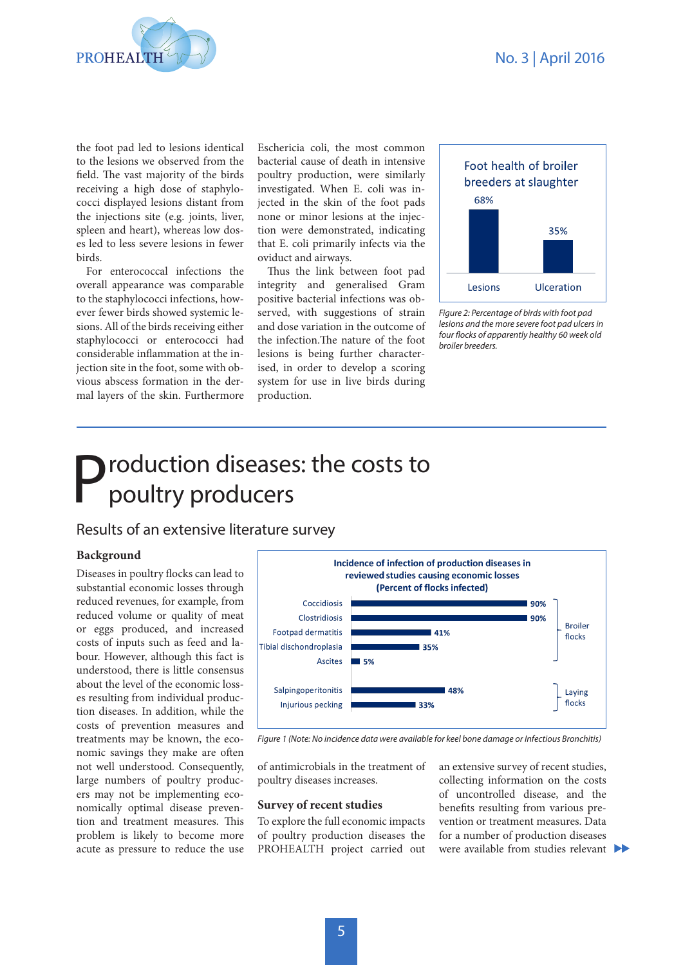

the foot pad led to lesions identical to the lesions we observed from the field. The vast majority of the birds receiving a high dose of staphylococci displayed lesions distant from the injections site (e.g. joints, liver, spleen and heart), whereas low doses led to less severe lesions in fewer birds.

For enterococcal infections the overall appearance was comparable to the staphylococci infections, however fewer birds showed systemic lesions. All of the birds receiving either staphylococci or enterococci had considerable inflammation at the injection site in the foot, some with obvious abscess formation in the dermal layers of the skin. Furthermore Eschericia coli, the most common bacterial cause of death in intensive poultry production, were similarly investigated. When E. coli was injected in the skin of the foot pads none or minor lesions at the injection were demonstrated, indicating that E. coli primarily infects via the oviduct and airways.

Thus the link between foot pad integrity and generalised Gram positive bacterial infections was observed, with suggestions of strain and dose variation in the outcome of the infection.The nature of the foot lesions is being further characterised, in order to develop a scoring system for use in live birds during production.



*Figure 2: Percentage of birds with foot pad lesions and the more severe foot pad ulcers in four flocks of apparently healthy 60 week old broiler breeders.* 

# **P**roduction diseases: the costs to poultry producers

## Results of an extensive literature survey

### **Background**

Diseases in poultry flocks can lead to substantial economic losses through reduced revenues, for example, from reduced volume or quality of meat or eggs produced, and increased costs of inputs such as feed and labour. However, although this fact is understood, there is little consensus about the level of the economic losses resulting from individual production diseases. In addition, while the costs of prevention measures and treatments may be known, the economic savings they make are often not well understood. Consequently, large numbers of poultry producers may not be implementing economically optimal disease prevention and treatment measures. This problem is likely to become more acute as pressure to reduce the use



*Figure 1 (Note: No incidence data were available for keel bone damage or Infectious Bronchitis)*

of antimicrobials in the treatment of poultry diseases increases.

#### **Survey of recent studies**

To explore the full economic impacts of poultry production diseases the PROHEALTH project carried out an extensive survey of recent studies, collecting information on the costs of uncontrolled disease, and the benefits resulting from various prevention or treatment measures. Data for a number of production diseases were available from studies relevant